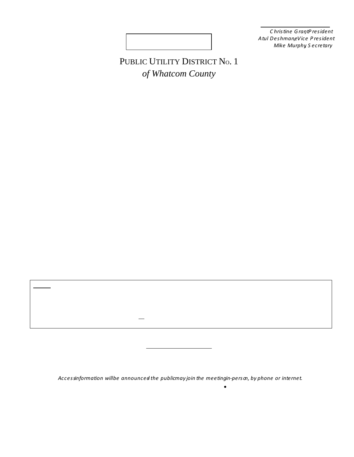#### 2022 BOARD OF COMMISSIONERS

*Christine , Grantidei* **DRAFT** *Atul Deshmane Preside*<br>*Mike Mußervetary* 

# PUBLIC UTILITY DISTRICT No. 1 *of Whatcom County*

Agenda for the RegularMeeting of May 24, 2022 8:00 a.m. at the PUD Office

## (In-person, Zoom, & Teleconference)

- 1. Call to Order | Pledge of Allegiand 3 minutes)
- 2. Approval of Agenda<sup>3</sup> minutes)
- 3. Consent Agenal(5 minutes)
	- a) Approval of the Meeting Minutes of the equilarMeeting of May 10 2022
	- b) Approval of Claimfor May 24, 2022
- 4. Public Comment10 minutest Individual speakers: 3 min.
- 5. Old Business
	- a) Broadband Program Update5 minutes)
	- b) WPUDA Policy Position is Dussion (15 minutes)
	- c) WA State Public Works Boatd Request for Information Discussion (10 minutes)
- 6. New Business
	- a) Approve 2023 Budget Development Sched(feminutes)
- 7. General Manager Report (10 minste
- 8. Commissioner Reportf15 minutes)
- 9. Public Comment10 minutest Individual speakers: 3 min.
- 10. Executive SessiorPer RCW 42.30.110(1)(g) Review formance of a Public Employe 60 (minutes)
- 11. Adjourn(10:00 AM estimated)

Notice:

In-person attendance is ow allowed at PUD Commission Meetings. All Commissioners will participate ther in-person, via Zoomor teleconference. The public meeting can be accessed by internet: https://us02web.zoom.us/j/8515259654 Or by telephone: Dial1 (253) 215 8780r 1 (346) 248 7799 Webinar ID 851 5265 9654

**Next Commission Meetings** 

June 7, 2022 | Speadi Meeting Broadband Project Open House: 30 PM

at Ferndale Chamber of Commer@007 Cherry St., Ferndale

June 14& 28, 2022 | 8:00 a.m. RegularMeetings t District Office

*Access information will be announced -the public mayjointhe meetingin-person,by phone or internet.*

Contact: Ann Grimm, Commission Clerk360) 3844288x 27• www.pudwhatcom.org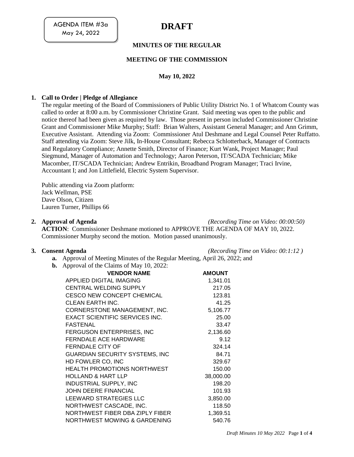AGENDA ITEM #3a May 24, 2022

# **DRAFT**

## **MINUTES OF THE REGULAR**

#### **MEETING OF THE COMMISSION**

## **May 10, 2022**

#### **1. Call to Order | Pledge of Allegiance**

The regular meeting of the Board of Commissioners of Public Utility District No. 1 of Whatcom County was called to order at 8:00 a.m. by Commissioner Christine Grant. Said meeting was open to the public and notice thereof had been given as required by law. Those present in person included Commissioner Christine Grant and Commissioner Mike Murphy; Staff: Brian Walters, Assistant General Manager; and Ann Grimm, Executive Assistant. Attending via Zoom: Commissioner Atul Deshmane and Legal Counsel Peter Ruffatto. Staff attending via Zoom: Steve Jilk, In-House Consultant; Rebecca Schlotterback, Manager of Contracts and Regulatory Compliance; Annette Smith, Director of Finance; Kurt Wank, Project Manager; Paul Siegmund, Manager of Automation and Technology; Aaron Peterson, IT/SCADA Technician; Mike Macomber, IT/SCADA Technician; Andrew Entrikin, Broadband Program Manager; Traci Irvine, Accountant I; and Jon Littlefield, Electric System Supervisor.

Public attending via Zoom platform: Jack Wellman, PSE Dave Olson, Citizen Lauren Turner, Phillips 66

**2. Approval of Agenda** *(Recording Time on Video: 00:00:50)*

**ACTION**: Commissioner Deshmane motioned to APPROVE THE AGENDA OF MAY 10, 2022. Commissioner Murphy second the motion. Motion passed unanimously.

**3. Consent Agenda** *(Recording Time on Video: 00:1:12 )*

- **a.** Approval of Meeting Minutes of the Regular Meeting, April 26, 2022; and
- **b.** Approval of the Claims of May 10, 2022:

| * *                            |                                       |               |
|--------------------------------|---------------------------------------|---------------|
|                                | <b>VENDOR NAME</b>                    | <b>AMOUNT</b> |
| <b>APPLIED DIGITAL IMAGING</b> |                                       | 1,341.01      |
| <b>CENTRAL WELDING SUPPLY</b>  |                                       | 217.05        |
|                                | <b>CESCO NEW CONCEPT CHEMICAL</b>     | 123.81        |
| CLEAN EARTH INC.               |                                       | 41.25         |
|                                | CORNERSTONE MANAGEMENT, INC.          | 5,106.77      |
|                                | <b>EXACT SCIENTIFIC SERVICES INC.</b> | 25.00         |
| <b>FASTENAL</b>                |                                       | 33.47         |
|                                | <b>FERGUSON ENTERPRISES, INC</b>      | 2,136.60      |
| <b>FERNDALE ACE HARDWARE</b>   |                                       | 9.12          |
| <b>FERNDALE CITY OF</b>        |                                       | 324.14        |
|                                | <b>GUARDIAN SECURITY SYSTEMS, INC</b> | 84.71         |
| HD FOWLER CO, INC              |                                       | 329.67        |
|                                | <b>HEALTH PROMOTIONS NORTHWEST</b>    | 150.00        |
| <b>HOLLAND &amp; HART LLP</b>  |                                       | 38,000.00     |
| <b>INDUSTRIAL SUPPLY, INC</b>  |                                       | 198.20        |
| <b>JOHN DEERE FINANCIAL</b>    |                                       | 101.93        |
| LEEWARD STRATEGIES LLC         |                                       | 3,850.00      |
|                                | NORTHWEST CASCADE, INC.               | 118.50        |
|                                | NORTHWEST FIBER DBA ZIPLY FIBER       | 1,369.51      |
| NORTHWEST MOWING & GARDENING   |                                       | 540.76        |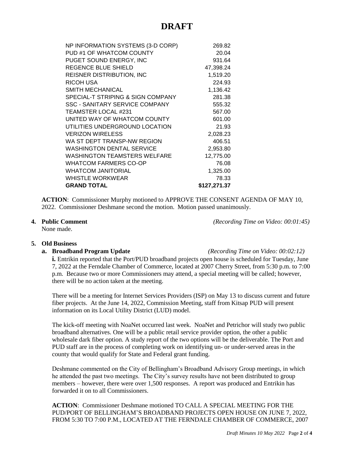# **DRAFT**

| NP INFORMATION SYSTEMS (3-D CORP)     | 269.82       |
|---------------------------------------|--------------|
| PUD #1 OF WHATCOM COUNTY              | 20.04        |
| PUGET SOUND ENERGY, INC               | 931.64       |
| REGENCE BLUE SHIELD                   | 47,398.24    |
| <b>REISNER DISTRIBUTION, INC</b>      | 1,519.20     |
| RICOH USA                             | 224.93       |
| <b>SMITH MECHANICAL</b>               | 1,136.42     |
| SPECIAL-T STRIPING & SIGN COMPANY     | 281.38       |
| <b>SSC - SANITARY SERVICE COMPANY</b> | 555.32       |
| <b>TEAMSTER LOCAL #231</b>            | 567.00       |
| UNITED WAY OF WHATCOM COUNTY          | 601.00       |
| UTILITIES UNDERGROUND LOCATION        | 21.93        |
| <b>VERIZON WIRELESS</b>               | 2,028.23     |
| WA ST DEPT TRANSP-NW REGION           | 406.51       |
| <b>WASHINGTON DENTAL SERVICE</b>      | 2,953.80     |
| <b>WASHINGTON TEAMSTERS WELFARE</b>   | 12,775.00    |
| WHATCOM FARMERS CO-OP                 | 76.08        |
| <b>WHATCOM JANITORIAL</b>             | 1,325.00     |
| <b>WHISTLE WORKWEAR</b>               | 78.33        |
| <b>GRAND TOTAL</b>                    | \$127,271.37 |

**ACTION**: Commissioner Murphy motioned to APPROVE THE CONSENT AGENDA OF MAY 10, 2022. Commissioner Deshmane second the motion. Motion passed unanimously.

None made.

**4. Public Comment** *(Recording Time on Video: 00:01:45)*

#### **5. Old Business**

#### **a. Broadband Program Update** *(Recording Time on Video: 00:02:12)*

**i.** Entrikin reported that the Port/PUD broadband projects open house is scheduled for Tuesday, June 7, 2022 at the Ferndale Chamber of Commerce, located at 2007 Cherry Street, from 5:30 p.m. to 7:00 p.m. Because two or more Commissioners may attend, a special meeting will be called; however, there will be no action taken at the meeting.

There will be a meeting for Internet Services Providers (ISP) on May 13 to discuss current and future fiber projects. At the June 14, 2022, Commission Meeting, staff from Kitsap PUD will present information on its Local Utility District (LUD) model.

The kick-off meeting with NoaNet occurred last week. NoaNet and Petrichor will study two public broadband alternatives. One will be a public retail service provider option, the other a public wholesale dark fiber option. A study report of the two options will be the deliverable. The Port and PUD staff are in the process of completing work on identifying un- or under-served areas in the county that would qualify for State and Federal grant funding.

Deshmane commented on the City of Bellingham's Broadband Advisory Group meetings, in which he attended the past two meetings. The City's survey results have not been distributed to group members – however, there were over 1,500 responses. A report was produced and Entrikin has forwarded it on to all Commissioners.

**ACTION**: Commissioner Deshmane motioned TO CALL A SPECIAL MEETING FOR THE PUD/PORT OF BELLINGHAM'S BROADBAND PROJECTS OPEN HOUSE ON JUNE 7, 2022, FROM 5:30 TO 7:00 P.M., LOCATED AT THE FERNDALE CHAMBER OF COMMERCE, 2007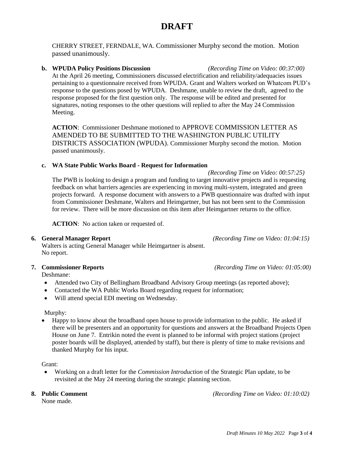# **DRAFT**

CHERRY STREET, FERNDALE, WA. Commissioner Murphy second the motion. Motion passed unanimously.

#### **b. WPUDA Policy Positions Discussion** *(Recording Time on Video: 00:37:00)*

At the April 26 meeting, Commissioners discussed electrification and reliability/adequacies issues pertaining to a questionnaire received from WPUDA. Grant and Walters worked on Whatcom PUD's response to the questions posed by WPUDA. Deshmane, unable to review the draft, agreed to the response proposed for the first question only. The response will be edited and presented for signatures, noting responses to the other questions will replied to after the May 24 Commission Meeting.

**ACTION**: Commissioner Deshmane motioned to APPROVE COMMISSION LETTER AS AMENDED TO BE SUBMITTED TO THE WASHINGTON PUBLIC UTILITY DISTRICTS ASSOCIATION (WPUDA). Commissioner Murphy second the motion. Motion passed unanimously.

#### **c. WA State Public Works Board - Request for Information**

*(Recording Time on Video: 00:57:25)* The PWB is looking to design a program and funding to target innovative projects and is requesting feedback on what barriers agencies are experiencing in moving multi-system, integrated and green projects forward. A response document with answers to a PWB questionnaire was drafted with input from Commissioner Deshmane, Walters and Heimgartner, but has not been sent to the Commission for review. There will be more discussion on this item after Heimgartner returns to the office.

**ACTION**: No action taken or requested of.

#### **6. General Manager Report** *(Recording Time on Video: 01:04:15)*

Walters is acting General Manager while Heimgartner is absent. No report.

Deshmane:

- Attended two City of Bellingham Broadband Advisory Group meetings (as reported above);
- Contacted the WA Public Works Board regarding request for information;
- Will attend special EDI meeting on Wednesday.

Murphy:

• Happy to know about the broadband open house to provide information to the public. He asked if there will be presenters and an opportunity for questions and answers at the Broadband Projects Open House on June 7. Entrikin noted the event is planned to be informal with project stations (project poster boards will be displayed, attended by staff), but there is plenty of time to make revisions and thanked Murphy for his input.

Grant:

 Working on a draft letter for the *Commission Introduction* of the Strategic Plan update, to be revisited at the May 24 meeting during the strategic planning section.

None made.

**8. Public Comment** *(Recording Time on Video: 01:10:02)*

**7. Commissioner Reports** *(Recording Time on Video: 01:05:00)*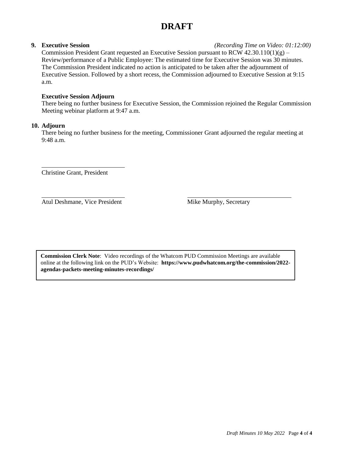# **DRAFT**

#### **9. Executive Session** *(Recording Time on Video: 01:12:00)*

Commission President Grant requested an Executive Session pursuant to RCW  $42.30.110(1)(g)$  – Review/performance of a Public Employee: The estimated time for Executive Session was 30 minutes. The Commission President indicated no action is anticipated to be taken after the adjournment of Executive Session. Followed by a short recess, the Commission adjourned to Executive Session at 9:15 a.m.

#### **Executive Session Adjourn**

There being no further business for Executive Session, the Commission rejoined the Regular Commission Meeting webinar platform at 9:47 a.m.

## **10. Adjourn**

There being no further business for the meeting, Commissioner Grant adjourned the regular meeting at 9:48 a.m.

Christine Grant, President

Atul Deshmane, Vice President Mike Murphy, Secretary

**Commission Clerk Note**: Video recordings of the Whatcom PUD Commission Meetings are available online at the following link on the PUD's Website: **[https://www.pudwhatcom.org/the-commission/2022](https://www.pudwhatcom.org/the-commission/2022-agendas-packets-meeting-minutes-recordings/) [agendas-packets-meeting-minutes-recordings/](https://www.pudwhatcom.org/the-commission/2022-agendas-packets-meeting-minutes-recordings/)**